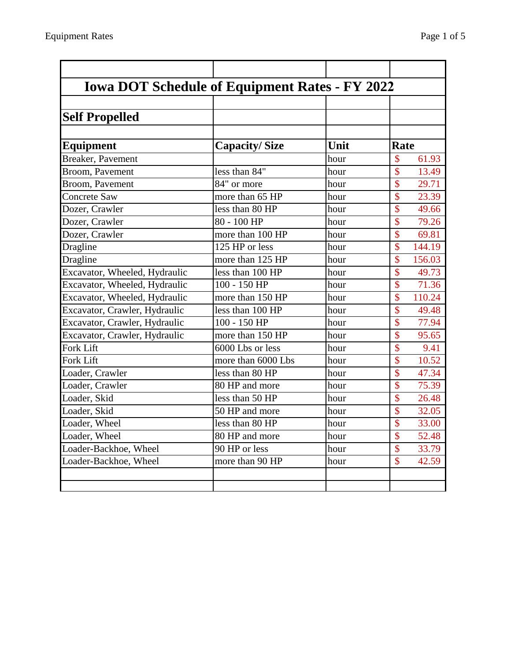| <b>Iowa DOT Schedule of Equipment Rates - FY 2022</b> |                      |      |                          |
|-------------------------------------------------------|----------------------|------|--------------------------|
|                                                       |                      |      |                          |
| <b>Self Propelled</b>                                 |                      |      |                          |
| <b>Equipment</b>                                      | <b>Capacity/Size</b> | Unit | Rate                     |
| <b>Breaker</b> , Pavement                             |                      | hour | \$<br>61.93              |
| Broom, Pavement                                       | less than 84"        | hour | \$<br>13.49              |
| Broom, Pavement                                       | 84" or more          | hour | \$<br>29.71              |
| <b>Concrete Saw</b>                                   | more than 65 HP      | hour | \$<br>23.39              |
| Dozer, Crawler                                        | less than 80 HP      | hour | \$<br>49.66              |
| Dozer, Crawler                                        | 80 - 100 HP          | hour | \$<br>79.26              |
| Dozer, Crawler                                        | more than 100 HP     | hour | \$<br>69.81              |
| Dragline                                              | 125 HP or less       | hour | \$<br>144.19             |
| Dragline                                              | more than 125 HP     | hour | \$<br>156.03             |
| Excavator, Wheeled, Hydraulic                         | less than 100 HP     | hour | \$<br>49.73              |
| Excavator, Wheeled, Hydraulic                         | 100 - 150 HP         | hour | \$<br>71.36              |
| Excavator, Wheeled, Hydraulic                         | more than 150 HP     | hour | \$<br>110.24             |
| Excavator, Crawler, Hydraulic                         | less than 100 HP     | hour | \$<br>49.48              |
| Excavator, Crawler, Hydraulic                         | 100 - 150 HP         | hour | \$<br>77.94              |
| Excavator, Crawler, Hydraulic                         | more than 150 HP     | hour | \$<br>95.65              |
| Fork Lift                                             | 6000 Lbs or less     | hour | \$<br>9.41               |
| Fork Lift                                             | more than 6000 Lbs   | hour | \$<br>10.52              |
| Loader, Crawler                                       | less than 80 HP      | hour | \$<br>47.34              |
| Loader, Crawler                                       | 80 HP and more       | hour | \$<br>75.39              |
| Loader, Skid                                          | less than 50 HP      | hour | \$<br>26.48              |
| Loader, Skid                                          | 50 HP and more       | hour | \$<br>32.05              |
| Loader, Wheel                                         | less than 80 HP      | hour | $\overline{\$}$<br>33.00 |

Loader, Wheel 80 HP and more hour \$ 52.48 Loader-Backhoe, Wheel 90 HP or less hour \$ 33.79 Loader-Backhoe, Wheel more than 90 HP hour \$ 42.59

Loss than 80 HP hour \$ 33.00<br>
180 HP and more hour \$ 52.48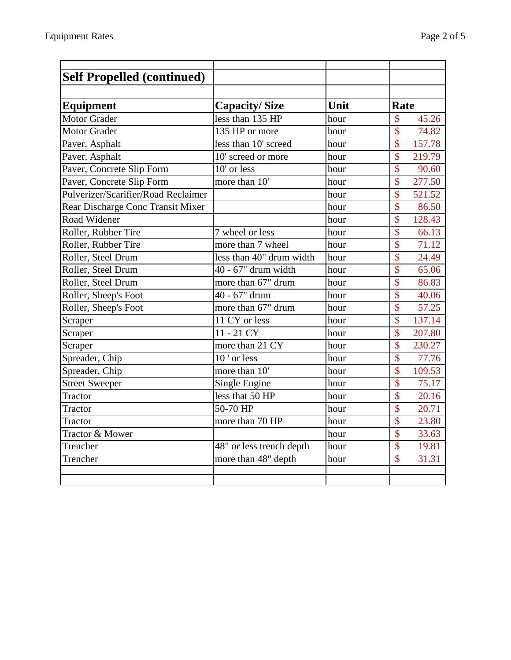| <b>Self Propelled (continued)</b>   |                          |      |                                    |
|-------------------------------------|--------------------------|------|------------------------------------|
|                                     |                          |      |                                    |
| Equipment                           | <b>Capacity/Size</b>     | Unit | Rate                               |
| <b>Motor Grader</b>                 | less than 135 HP         | hour | \$<br>45.26                        |
| <b>Motor Grader</b>                 | 135 HP or more           | hour | $\overline{\mathcal{S}}$<br>74.82  |
| Paver, Asphalt                      | less than 10' screed     | hour | $\overline{\$}$<br>157.78          |
| Paver, Asphalt                      | 10' screed or more       | hour | $\overline{\$}$<br>219.79          |
| Paver, Concrete Slip Form           | 10' or less              | hour | $\overline{\$}$<br>90.60           |
| Paver, Concrete Slip Form           | more than 10'            | hour | $\overline{\$}$<br>277.50          |
| Pulverizer/Scarifier/Road Reclaimer |                          | hour | $\overline{\mathcal{S}}$<br>521.52 |
| Rear Discharge Conc Transit Mixer   |                          | hour | $\overline{\mathbb{S}}$<br>86.50   |
| Road Widener                        |                          | hour | \$<br>128.43                       |
| Roller, Rubber Tire                 | 7 wheel or less          | hour | \$<br>66.13                        |
| Roller, Rubber Tire                 | more than 7 wheel        | hour | $\overline{\$}$<br>71.12           |
| Roller, Steel Drum                  | less than 40" drum width | hour | $\overline{\mathcal{S}}$<br>24.49  |
| Roller, Steel Drum                  | 40 - 67" drum width      | hour | $\overline{\$}$<br>65.06           |
| Roller, Steel Drum                  | more than 67" drum       | hour | $\overline{\$}$<br>86.83           |
| Roller, Sheep's Foot                | 40 - 67" drum            | hour | $\overline{\$}$<br>40.06           |
| Roller, Sheep's Foot                | more than 67" drum       | hour | $\overline{\mathcal{S}}$<br>57.25  |
| Scraper                             | 11 CY or less            | hour | $\overline{\mathbb{S}}$<br>137.14  |
| Scraper                             | $11 - 21 CY$             | hour | $\overline{\$}$<br>207.80          |
| Scraper                             | more than 21 CY          | hour | $\overline{\$}$<br>230.27          |
| Spreader, Chip                      | 10' or less              | hour | $\overline{\$}$<br>77.76           |
| Spreader, Chip                      | more than 10'            | hour | $\overline{\$}$<br>109.53          |
| <b>Street Sweeper</b>               | Single Engine            | hour | $\overline{\mathbb{S}}$<br>75.17   |
| Tractor                             | less that 50 HP          | hour | $\overline{\mathcal{S}}$<br>20.16  |
| Tractor                             | 50-70 HP                 | hour | \$<br>20.71                        |
| Tractor                             | more than 70 HP          | hour | $\overline{\$}$<br>23.80           |
| <b>Tractor &amp; Mower</b>          |                          | hour | $\overline{\mathcal{S}}$<br>33.63  |
| Trencher                            | 48" or less trench depth | hour | $\overline{\mathbb{S}}$<br>19.81   |
| Trencher                            | more than 48" depth      | hour | \$<br>31.31                        |
|                                     |                          |      |                                    |
|                                     |                          |      |                                    |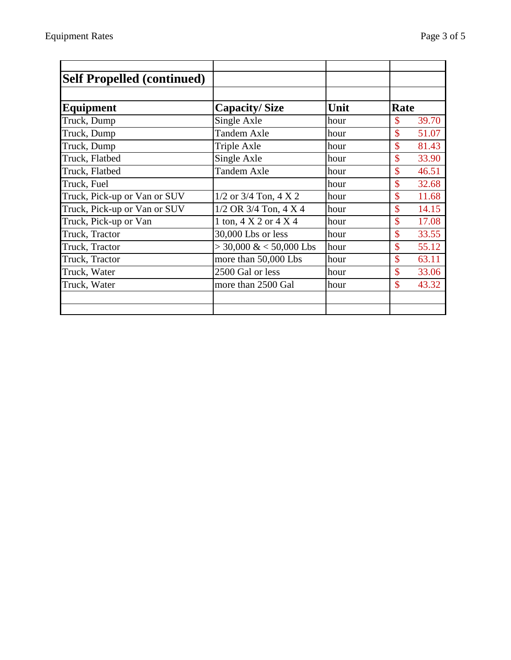| <b>Self Propelled (continued)</b> |                                     |      |                             |
|-----------------------------------|-------------------------------------|------|-----------------------------|
|                                   |                                     |      |                             |
| <b>Equipment</b>                  | <b>Capacity/Size</b>                | Unit | Rate                        |
| Truck, Dump                       | Single Axle                         | hour | $\mathcal{S}$<br>39.70      |
| Truck, Dump                       | <b>Tandem Axle</b>                  | hour | $\mathcal{S}$<br>51.07      |
| Truck, Dump                       | Triple Axle                         | hour | $\mathbf{\hat{S}}$<br>81.43 |
| Truck, Flatbed                    | Single Axle                         | hour | $\mathcal{S}$<br>33.90      |
| Truck, Flatbed                    | <b>Tandem Axle</b>                  | hour | $\mathcal{S}$<br>46.51      |
| Truck, Fuel                       |                                     | hour | $\mathbf{\hat{S}}$<br>32.68 |
| Truck, Pick-up or Van or SUV      | $1/2$ or $3/4$ Ton, $4 \times 2$    | hour | $\mathbf{\hat{S}}$<br>11.68 |
| Truck, Pick-up or Van or SUV      | $1/2$ OR 3/4 Ton, 4 X 4             | hour | $\mathcal{S}$<br>14.15      |
| Truck, Pick-up or Van             | 1 ton, $4 \times 2$ or $4 \times 4$ | hour | $\mathbf{\hat{S}}$<br>17.08 |
| Truck, Tractor                    | 30,000 Lbs or less                  | hour | $\mathbf{\hat{S}}$<br>33.55 |
| Truck, Tractor                    | $>$ 30,000 & < 50,000 Lbs           | hour | $\mathbf{\hat{S}}$<br>55.12 |
| Truck, Tractor                    | more than 50,000 Lbs                | hour | $\mathbf{\hat{S}}$<br>63.11 |
| Truck, Water                      | 2500 Gal or less                    | hour | $\mathbf{\hat{S}}$<br>33.06 |
| Truck, Water                      | more than 2500 Gal                  | hour | $\mathbf{\hat{S}}$<br>43.32 |
|                                   |                                     |      |                             |
|                                   |                                     |      |                             |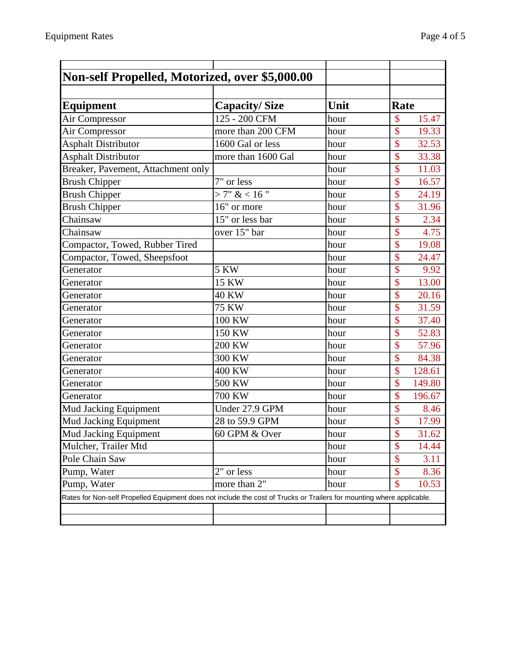| Non-self Propelled, Motorized, over \$5,000.00                                                                        |                      |      |                                   |
|-----------------------------------------------------------------------------------------------------------------------|----------------------|------|-----------------------------------|
|                                                                                                                       |                      |      |                                   |
| <b>Equipment</b>                                                                                                      | <b>Capacity/Size</b> | Unit | Rate                              |
| Air Compressor                                                                                                        | 125 - 200 CFM        | hour | $\mathsf{\$}$<br>15.47            |
| Air Compressor                                                                                                        | more than 200 CFM    | hour | $\mathsf{\$}$<br>19.33            |
| <b>Asphalt Distributor</b>                                                                                            | 1600 Gal or less     | hour | \$<br>32.53                       |
| <b>Asphalt Distributor</b>                                                                                            | more than 1600 Gal   | hour | $\mathsf{\$}$<br>33.38            |
| Breaker, Pavement, Attachment only                                                                                    |                      | hour | $\overline{\$}$<br>11.03          |
| <b>Brush Chipper</b>                                                                                                  | 7" or less           | hour | $\overline{\mathbb{S}}$<br>16.57  |
| <b>Brush Chipper</b>                                                                                                  | >7" < 16"            | hour | $\hat{\mathcal{S}}$<br>24.19      |
| <b>Brush Chipper</b>                                                                                                  | 16" or more          | hour | $\overline{\mathbb{S}}$<br>31.96  |
| Chainsaw                                                                                                              | 15" or less bar      | hour | \$<br>2.34                        |
| Chainsaw                                                                                                              | over 15" bar         | hour | \$<br>4.75                        |
| Compactor, Towed, Rubber Tired                                                                                        |                      | hour | $\overline{\$}$<br>19.08          |
| Compactor, Towed, Sheepsfoot                                                                                          |                      | hour | \$<br>24.47                       |
| Generator                                                                                                             | 5 KW                 | hour | \$<br>9.92                        |
| Generator                                                                                                             | $\overline{15}$ KW   | hour | $\overline{\mathbb{S}}$<br>13.00  |
| Generator                                                                                                             | 40 KW                | hour | $\overline{\mathbb{S}}$<br>20.16  |
| Generator                                                                                                             | <b>75 KW</b>         | hour | $\mathbf{\hat{S}}$<br>31.59       |
| Generator                                                                                                             | 100 KW               | hour | $\overline{\$}$<br>37.40          |
| Generator                                                                                                             | 150 KW               | hour | \$<br>52.83                       |
| Generator                                                                                                             | 200 KW               | hour | $\overline{\mathbb{S}}$<br>57.96  |
| Generator                                                                                                             | 300 KW               | hour | \$<br>84.38                       |
| Generator                                                                                                             | 400 KW               | hour | \$<br>128.61                      |
| Generator                                                                                                             | $500$ KW             | hour | $\overline{\mathbb{S}}$<br>149.80 |
| Generator                                                                                                             | 700 KW               | hour | $\mathsf{\$}$<br>196.67           |
| <b>Mud Jacking Equipment</b>                                                                                          | Under 27.9 GPM       | hour | $\overline{\mathbb{S}}$<br>8.46   |
| Mud Jacking Equipment                                                                                                 | 28 to 59.9 GPM       | hour | \$<br>17.99                       |
| Mud Jacking Equipment                                                                                                 | 60 GPM & Over        | hour | $\overline{\$}$<br>31.62          |
| Mulcher, Trailer Mtd                                                                                                  |                      | hour | \$<br>14.44                       |
| Pole Chain Saw                                                                                                        |                      | hour | \$<br>3.11                        |
| Pump, Water                                                                                                           | 2" or less           | hour | $\mathcal{S}$<br>8.36             |
| Pump, Water                                                                                                           | more than 2"         | hour | $\mathbb{S}$<br>10.53             |
| Rates for Non-self Propelled Equipment does not include the cost of Trucks or Trailers for mounting where applicable. |                      |      |                                   |
|                                                                                                                       |                      |      |                                   |
|                                                                                                                       |                      |      |                                   |